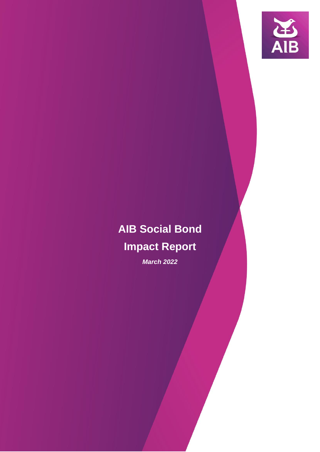

# **AIB Social Bond**

## **Impact Report**

*March 2022*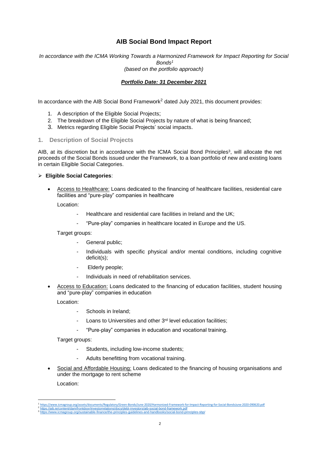#### **AIB Social Bond Impact Report**

*In accordance with the ICMA Working Towards a Harmonized Framework for Impact Reporting for Social Bonds<sup>1</sup> (based on the portfolio approach)*

#### *Portfolio Date: 31 December 2021*

In accordance with the AIB Social Bond Framework<sup>2</sup> dated July 2021, this document provides:

- 1. A description of the Eligible Social Projects;
- 2. The breakdown of the Eligible Social Projects by nature of what is being financed;
- 3. Metrics regarding Eligible Social Projects' social impacts.
- **1. Description of Social Projects**

AIB, at its discretion but in accordance with the ICMA Social Bond Principles<sup>3</sup>, will allocate the net proceeds of the Social Bonds issued under the Framework, to a loan portfolio of new and existing loans in certain Eligible Social Categories.

#### **Eligible Social Categories**:

 Access to Healthcare: Loans dedicated to the financing of healthcare facilities, residential care facilities and "pure-play" companies in healthcare

Location:

- Healthcare and residential care facilities in Ireland and the UK;
- "Pure-play" companies in healthcare located in Europe and the US.

Target groups:

- General public;
- Individuals with specific physical and/or mental conditions, including cognitive deficit(s);
- Elderly people;
- Individuals in need of rehabilitation services.
- Access to Education: Loans dedicated to the financing of education facilities, student housing and "pure-play" companies in education

Location:

- Schools in Ireland;
- Loans to Universities and other 3<sup>rd</sup> level education facilities;
- "Pure-play" companies in education and vocational training.

Target groups:

- Students, including low-income students;
- Adults benefitting from vocational training.
- Social and Affordable Housing: Loans dedicated to the financing of housing organisations and under the mortgage to rent scheme

Location:

**.** 

<sup>&</sup>lt;sup>1</sup> <https://www.icmagroup.org/assets/documents/Regulatory/Green-Bonds/June-2020/Harmonized-Framework-for-Impact-Reporting-for-Social-BondsJune-2020-090620.pdf><br><sup>2</sup> https://abi.ie/Content/dam/frontdoor/investorrelations/docs <https://www.icmagroup.org/sustainable-finance/the-principles-guidelines-and-handbooks/social-bond-principles-sbp/>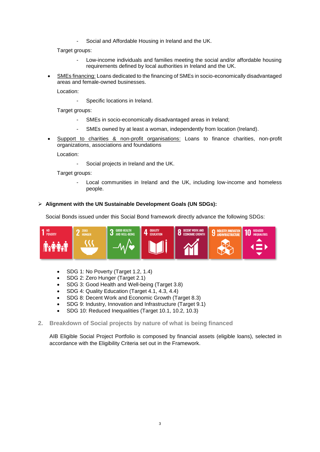Social and Affordable Housing in Ireland and the UK.

Target groups:

- Low-income individuals and families meeting the social and/or affordable housing requirements defined by local authorities in Ireland and the UK.
- SMEs financing: Loans dedicated to the financing of SMEs in socio-economically disadvantaged areas and female-owned businesses.

Location:

- Specific locations in Ireland.

Target groups:

- SMEs in socio-economically disadvantaged areas in Ireland;
- SMEs owned by at least a woman, independently from location (Ireland).
- Support to charities & non-profit organisations: Loans to finance charities, non-profit organizations, associations and foundations

Location:

Social projects in Ireland and the UK.

Target groups:

Local communities in Ireland and the UK, including low-income and homeless people.

#### **Alignment with the UN Sustainable Development Goals (UN SDGs):**

Social Bonds issued under this Social Bond framework directly advance the following SDGs:



- SDG 1: No Poverty (Target 1.2, 1.4)
- SDG 2: Zero Hunger (Target 2.1)
- SDG 3: Good Health and Well-being (Target 3.8)
- SDG 4: Quality Education (Target 4.1, 4.3, 4.4)
- SDG 8: Decent Work and Economic Growth (Target 8.3)
- SDG 9: Industry, Innovation and Infrastructure (Target 9.1)
- SDG 10: Reduced Inequalities (Target 10.1, 10.2, 10.3)
- **2. Breakdown of Social projects by nature of what is being financed**

AIB Eligible Social Project Portfolio is composed by financial assets (eligible loans), selected in accordance with the Eligibility Criteria set out in the Framework.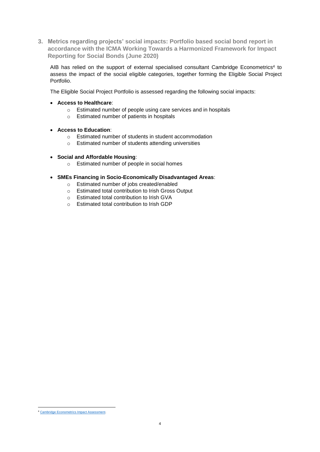**3. Metrics regarding projects' social impacts: Portfolio based social bond report in accordance with the ICMA Working Towards a Harmonized Framework for Impact Reporting for Social Bonds (June 2020)**

AIB has relied on the support of external specialised consultant Cambridge Econometrics<sup>4</sup> to assess the impact of the social eligible categories, together forming the Eligible Social Project Portfolio.

The Eligible Social Project Portfolio is assessed regarding the following social impacts:

- **Access to Healthcare**:
	- o Estimated number of people using care services and in hospitals
	- o Estimated number of patients in hospitals
- **Access to Education**:
	- o Estimated number of students in student accommodation
	- o Estimated number of students attending universities
- **Social and Affordable Housing**:
	- o Estimated number of people in social homes
- **SMEs Financing in Socio-Economically Disadvantaged Areas**:
	- o Estimated number of jobs created/enabled
	- o Estimated total contribution to Irish Gross Output
	- o Estimated total contribution to Irish GVA
	- o Estimated total contribution to Irish GDP

**<sup>.</sup>** <sup>4</sup> Cambridge Econometrics Impact Assessment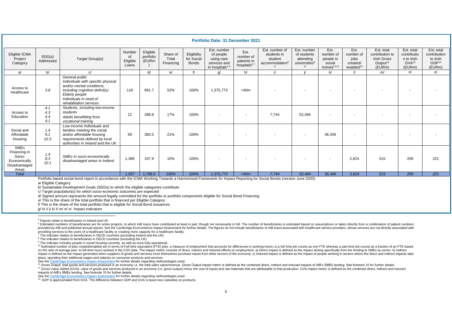| <b>Portfolio Date: 31 December 2021</b>                                         |                          |                                                                                                                                                                                            |                                   |                                |                                |                                           |                                                                                      |                                                             |                                                                        |                                                                      |                                                                  |                                                                |                                                                                       |                                                                        |                                                                       |
|---------------------------------------------------------------------------------|--------------------------|--------------------------------------------------------------------------------------------------------------------------------------------------------------------------------------------|-----------------------------------|--------------------------------|--------------------------------|-------------------------------------------|--------------------------------------------------------------------------------------|-------------------------------------------------------------|------------------------------------------------------------------------|----------------------------------------------------------------------|------------------------------------------------------------------|----------------------------------------------------------------|---------------------------------------------------------------------------------------|------------------------------------------------------------------------|-----------------------------------------------------------------------|
| Eligible ICMA<br>Project<br>Category                                            | SDG(s)<br>Addressed      | Target Group(s)                                                                                                                                                                            | Number<br>of<br>Eligible<br>Loans | Eligible<br>portfolio<br>(EURm | Share of<br>Total<br>Financing | Eligibility<br>for Social<br><b>Bonds</b> | Est. number<br>of people<br>using care<br>services and<br>in hospitals <sup>56</sup> | Est.<br>number of<br>patients in<br>hospitals <sup>67</sup> | Est. number of<br>students in<br>student<br>accommodation <sup>5</sup> | Est. number<br>of students<br>attending<br>universities <sup>6</sup> | Est.<br>number of<br>people in<br>social<br>homes <sup>569</sup> | Est.<br>number of<br>jobs<br>created/<br>enabled <sup>10</sup> | Est. total<br>contribution to<br><b>Irish Gross</b><br>Output <sup>11</sup><br>(EURm) | Est. total<br>contributio<br>n to Irish<br>GVA <sup>12</sup><br>(EURm) | Est. total<br>contribution<br>to Irish<br>GDP <sup>13</sup><br>(EURm) |
| a                                                                               | b/                       | C/                                                                                                                                                                                         |                                   | d/                             | e/                             | f/                                        | $\alpha$ /                                                                           | h/                                                          | i/                                                                     | $\cdot$                                                              | k/                                                               | $\mathbf{I}$                                                   | m/                                                                                    | n/                                                                     | O/                                                                    |
| Access to<br>Healthcare                                                         | 3.8                      | General public<br>Individuals with specific physical<br>and/or mental conditions.<br>including cognitive deficit(s)<br>Elderly people<br>Individuals in need of<br>rehabilitation services | 118                               | 891.7                          | 52%                            | 100%                                      | 1,375,773                                                                            | >40m                                                        |                                                                        |                                                                      |                                                                  |                                                                |                                                                                       |                                                                        |                                                                       |
| Access to<br>Education                                                          | 4.1<br>4.3<br>4.4<br>9.1 | Students, including low-income<br>students<br>Adults benefitting from<br>vocational training                                                                                               | 12                                | 288.8                          | 17%                            | 100%                                      |                                                                                      |                                                             | 7,744                                                                  | 52,494                                                               |                                                                  |                                                                |                                                                                       |                                                                        |                                                                       |
| Social and<br>Affordable<br>Housing                                             | 1.4<br>9.1<br>10.3       | Low-income individuals and<br>families meeting the social<br>and/or affordable housing<br>requirements defined by local<br>authorities in Ireland and the UK                               | 59                                | 360.5                          | 21%                            | 100%                                      |                                                                                      |                                                             |                                                                        | $\sim$                                                               | 36,346                                                           |                                                                |                                                                                       |                                                                        |                                                                       |
| <b>SMEs</b><br>Financing in<br>Socio-<br>Economically<br>Disadvantaged<br>Areas | 1.4<br>8.3<br>10.1       | SMEs in socio-economically<br>disadvantaged areas in Ireland                                                                                                                               | 1,368                             | 167.9                          | 10%                            | 100%                                      |                                                                                      |                                                             | $\overline{\phantom{a}}$                                               | $\sim$                                                               | $\sim$                                                           | 2.824                                                          | 515                                                                                   | 209                                                                    | 221                                                                   |
| <b>Total</b>                                                                    |                          |                                                                                                                                                                                            | 1,557                             | 1,708.6                        | 100%                           | 100%                                      | 1,375,773                                                                            | >40m                                                        | 7,744                                                                  | 52,494                                                               | 36,346                                                           | 2.824                                                          | 515                                                                                   | 209                                                                    | 221                                                                   |
|                                                                                 |                          | Portfolio based social bond report in accordance with the ICMA Working Towards a Harmonized Framework for Impact Reporting for Social Bonds (version June 2020)                            |                                   |                                |                                |                                           |                                                                                      |                                                             |                                                                        |                                                                      |                                                                  |                                                                |                                                                                       |                                                                        |                                                                       |

<span id="page-4-1"></span><span id="page-4-0"></span>Portfolio based social bond report in accordance with the ICMA Working Towards a Harmonized Framework for Impact Reporting for Social Bonds (version June 2020)

a/ Eligible Category

b/ Sustainable Development Goals (SDGs) to which the eligible categories contribute

c/ Target population(s) for which socio-economic outcomes are expected

d/ Signed amount represents the amount legally committed for the portfolio or portfolio components eligible for Social Bond Financing

e/ This is the share of the total portfolio that is financed per Eligible Category

f/ This is the share of the total portfolio that is eligible for Social Bond issuances

g/ h/ i/ j/ k/ l/ m/ n/ o/ Impact indicators

 $7$  The indicator relates to beneficiaries in OECD countries (excluding Ireland and the UK).

<sup>8</sup> The indicator relates to beneficiaries in OECD countries (excluding the UK).

<sup>9</sup> The indicator includes people in social housing currently, as well as once fully operational.

<sup>10</sup> Estimated number of jobs created/enabled are in terms of Full-time equivalent (FTE) jobs: a measure of employment that accounts for differences in working hours i.e. a full-time job counts as one FTE whereas a part-ti on the ratio of average part- to full-time hours worked in the CSO data. The impact metric consists of direct, indirect and induced effects on employment: a) Direct impact is defined as the impact arising specifically from impact is defined as the impact denerated when suppliers of goods and services must themselves purchase inputs from other sectors of the economy: c) Induced impact is defined as the impact of people working in sectors wher place, spending their additional wages and salaries on consumer products and services.

See th[e Cambridge Econometrics Impact Assessment](https://aib.ie/investorrelations/debt-investor/social-bond-framework) for further details regarding methodologies used.

<sup>11</sup> Gross Output: total goods and services produced in an economy i.e. the total sales value/revenue. Gross Output impact metric is defined as the combined direct, indirect and induced impacts of AIB's SMEs lending. See f <sup>12</sup> Gross Value Added (GVA): value of goods and services produced in an economy (i.e. gross output) minus the cost of inputs and raw materials that are attributable to that production. GVA impact metric is defined as the

impacts of AIB's SMEs lending. See footnote 10 for further details.

See th[e Cambridge Econometrics Impact Assessment](https://aib.ie/investorrelations/debt-investor/social-bond-framework) for further details regarding methodologies used.

<sup>13</sup> GDP is approximated from GVA. The difference between GDP and GVA is taxes less subsidies on products.

l <sup>5</sup> Figures relate to beneficiaries in Ireland and UK.

<sup>&</sup>lt;sup>6</sup> Estimated numbers of beneficiaries are for entire projects, to which AIB loans have contributed at least in part, though not necessarily in full. The number of beneficiaries is estimated based on assumptions or taken d provided by AIB and published annual reports. See the Cambridge Econometrics Impact Assessment for further details. The figures do not include beneficiaries of AIB loans associated with healthcare service providers, whose providing services to the users of a healthcare facility or creating more capacity for a healthcare facility.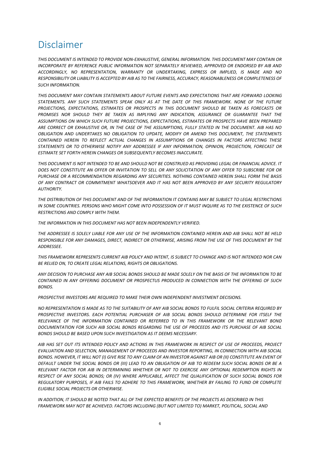### Disclaimer

*THIS DOCUMENT IS INTENDED TO PROVIDE NON-EXHAUSTIVE, GENERAL INFORMATION. THIS DOCUMENT MAY CONTAIN OR INCORPORATE BY REFERENCE PUBLIC INFORMATION NOT SEPARATELY REVIEWED, APPROVED OR ENDORSED BY AIB AND ACCORDINGLY, NO REPRESENTATION, WARRANTY OR UNDERTAKING, EXPRESS OR IMPLIED, IS MADE AND NO RESPONSIBILITY OR LIABILITY IS ACCEPTED BY AIB AS TO THE FAIRNESS, ACCURACY, REASONABLENESS OR COMPLETENESS OF SUCH INFORMATION.*

*THIS DOCUMENT MAY CONTAIN STATEMENTS ABOUT FUTURE EVENTS AND EXPECTATIONS THAT ARE FORWARD LOOKING STATEMENTS. ANY SUCH STATEMENTS SPEAK ONLY AS AT THE DATE OF THIS FRAMEWORK. NONE OF THE FUTURE PROJECTIONS, EXPECTATIONS, ESTIMATES OR PROSPECTS IN THIS DOCUMENT SHOULD BE TAKEN AS FORECASTS OR PROMISES NOR SHOULD THEY BE TAKEN AS IMPLYING ANY INDICATION, ASSURANCE OR GUARANTEE THAT THE ASSUMPTIONS ON WHICH SUCH FUTURE PROJECTIONS, EXPECTATIONS, ESTIMATES OR PROSPECTS HAVE BEEN PREPARED ARE CORRECT OR EXHAUSTIVE OR, IN THE CASE OF THE ASSUMPTIONS, FULLY STATED IN THE DOCUMENT. AIB HAS NO OBLIGATION AND UNDERTAKES NO OBLIGATION TO UPDATE, MODIFY OR AMEND THIS DOCUMENT, THE STATEMENTS CONTAINED HEREIN TO REFLECT ACTUAL CHANGES IN ASSUMPTIONS OR CHANGES IN FACTORS AFFECTING THESE STATEMENTS OR TO OTHERWISE NOTIFY ANY ADDRESSEE IF ANY INFORMATION, OPINION, PROJECTION, FORECAST OR ESTIMATE SET FORTH HEREIN CHANGES OR SUBSEQUENTLY BECOMES INACCURATE.*

*THIS DOCUMENT IS NOT INTENDED TO BE AND SHOULD NOT BE CONSTRUED AS PROVIDING LEGAL OR FINANCIAL ADVICE. IT DOES NOT CONSTITUTE AN OFFER OR INVITATION TO SELL OR ANY SOLICITATION OF ANY OFFER TO SUBSCRIBE FOR OR PURCHASE OR A RECOMMENDATION REGARDING ANY SECURITIES. NOTHING CONTAINED HEREIN SHALL FORM THE BASIS OF ANY CONTRACT OR COMMITMENT WHATSOEVER AND IT HAS NOT BEEN APPROVED BY ANY SECURITY REGULATORY AUTHORITY.*

*THE DISTRIBUTION OF THIS DOCUMENT AND OF THE INFORMATION IT CONTAINS MAY BE SUBJECT TO LEGAL RESTRICTIONS IN SOME COUNTRIES. PERSONS WHO MIGHT COME INTO POSSESSION OF IT MUST INQUIRE AS TO THE EXISTENCE OF SUCH RESTRICTIONS AND COMPLY WITH THEM.*

*THE INFORMATION IN THIS DOCUMENT HAS NOT BEEN INDEPENDENTLY VERIFIED.*

*THE ADDRESSEE IS SOLELY LIABLE FOR ANY USE OF THE INFORMATION CONTAINED HEREIN AND AIB SHALL NOT BE HELD RESPONSIBLE FOR ANY DAMAGES, DIRECT, INDIRECT OR OTHERWISE, ARISING FROM THE USE OF THIS DOCUMENT BY THE ADDRESSEE.*

*THIS FRAMEWORK REPRESENTS CURRENT AIB POLICY AND INTENT, IS SUBJECT TO CHANGE AND IS NOT INTENDED NOR CAN BE RELIED ON, TO CREATE LEGAL RELATIONS, RIGHTS OR OBLIGATIONS.* 

*ANY DECISION TO PURCHASE ANY AIB SOCIAL BONDS SHOULD BE MADE SOLELY ON THE BASIS OF THE INFORMATION TO BE CONTAINED IN ANY OFFERING DOCUMENT OR PROSPECTUS PRODUCED IN CONNECTION WITH THE OFFERING OF SUCH BONDS.*

*PROSPECTIVE INVESTORS ARE REQUIRED TO MAKE THEIR OWN INDEPENDENT INVESTMENT DECISIONS.*

*NO REPRESENTATION IS MADE AS TO THE SUITABILITY OF ANY AIB SOCIAL BONDS TO FULFIL SOCIAL CRITERIA REQUIRED BY*  PROSPECTIVE INVESTORS. EACH POTENTIAL PURCHASER OF AIB SOCIAL BONDS SHOULD DETERMINE FOR ITSELF THE *RELEVANCE OF THE INFORMATION CONTAINED OR REFERRED TO IN THIS FRAMEWORK OR THE RELEVANT BOND DOCUMENTATION FOR SUCH AIB SOCIAL BONDS REGARDING THE USE OF PROCEEDS AND ITS PURCHASE OF AIB SOCIAL BONDS SHOULD BE BASED UPON SUCH INVESTIGATION AS IT DEEMS NECESSARY.*

*AIB HAS SET OUT ITS INTENDED POLICY AND ACTIONS IN THIS FRAMEWORK IN RESPECT OF USE OF PROCEEDS, PROJECT EVALUATION AND SELECTION, MANAGEMENT OF PROCEEDS AND INVESTOR REPORTING, IN CONNECTION WITH AIB SOCIAL*  BONDS. HOWEVER, IT WILL NOT (I) GIVE RISE TO ANY CLAIM OF AN INVESTOR AGAINST AIB OR (II) CONSTITUTE AN EVENT OF *DEFAULT UNDER THE SOCIAL BONDS OR (III) LEAD TO AN OBLIGATION OF AIB TO REDEEM SUCH SOCIAL BONDS OR BE A RELEVANT FACTOR FOR AIB IN DETERMINING WHETHER OR NOT TO EXERCISE ANY OPTIONAL REDEMPTION RIGHTS IN RESPECT OF ANY SOCIAL BONDS; OR (IV) WHERE APPLICABLE, AFFECT THE QUALIFICATION OF SUCH SOCIAL BONDS FOR REGULATORY PURPOSES, IF AIB FAILS TO ADHERE TO THIS FRAMEWORK, WHETHER BY FAILING TO FUND OR COMPLETE ELIGIBLE SOCIAL PROJECTS OR OTHERWISE.*

*IN ADDITION, IT SHOULD BE NOTED THAT ALL OF THE EXPECTED BENEFITS OF THE PROJECTS AS DESCRIBED IN THIS FRAMEWORK MAY NOT BE ACHIEVED. FACTORS INCLUDING (BUT NOT LIMITED TO) MARKET, POLITICAL, SOCIAL AND*